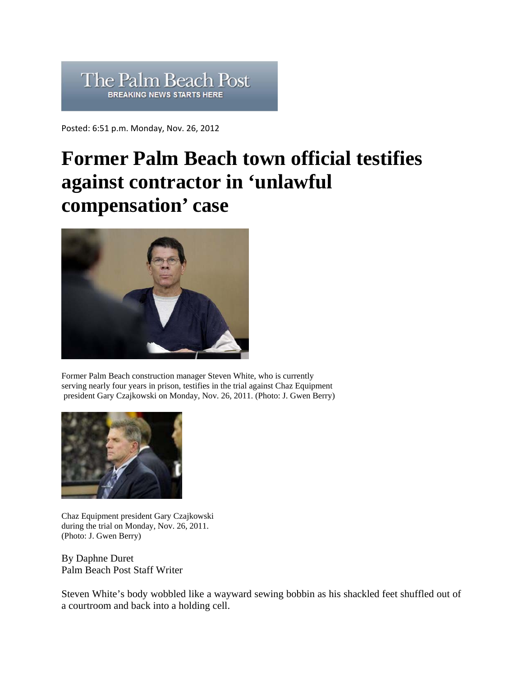## The Palm Beach Post **BREAKING NEWS STARTS HERE**

Posted: 6:51 p.m. Monday, Nov. 26, 2012

## **Former Palm Beach town official testifies against contractor in 'unlawful compensation' case**



Former Palm Beach construction manager Steven White, who is currently serving nearly four years in prison, testifies in the trial against Chaz Equipment president Gary Czajkowski on Monday, Nov. 26, 2011. (Photo: J. Gwen Berry)



Chaz Equipment president Gary Czajkowski during the trial on Monday, Nov. 26, 2011. (Photo: J. Gwen Berry)

By Daphne Duret Palm Beach Post Staff Writer

Steven White's body wobbled like a wayward sewing bobbin as his shackled feet shuffled out of a courtroom and back into a holding cell.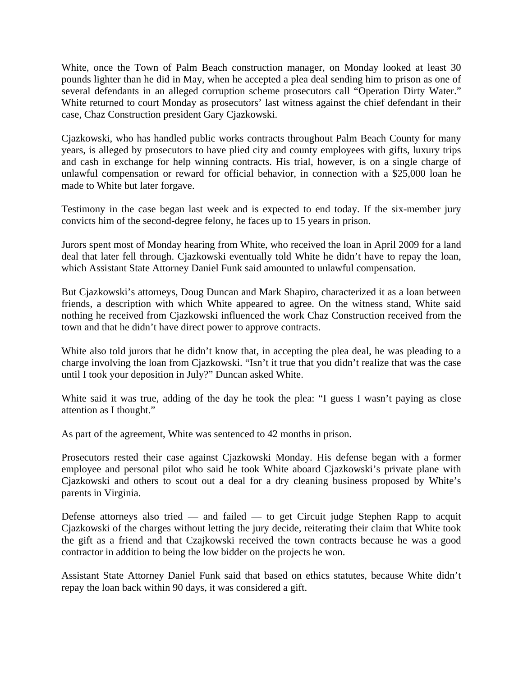White, once the Town of Palm Beach construction manager, on Monday looked at least 30 pounds lighter than he did in May, when he accepted a plea deal sending him to prison as one of several defendants in an alleged corruption scheme prosecutors call "Operation Dirty Water." White returned to court Monday as prosecutors' last witness against the chief defendant in their case, Chaz Construction president Gary Cjazkowski.

Cjazkowski, who has handled public works contracts throughout Palm Beach County for many years, is alleged by prosecutors to have plied city and county employees with gifts, luxury trips and cash in exchange for help winning contracts. His trial, however, is on a single charge of unlawful compensation or reward for official behavior, in connection with a \$25,000 loan he made to White but later forgave.

Testimony in the case began last week and is expected to end today. If the six-member jury convicts him of the second-degree felony, he faces up to 15 years in prison.

Jurors spent most of Monday hearing from White, who received the loan in April 2009 for a land deal that later fell through. Cjazkowski eventually told White he didn't have to repay the loan, which Assistant State Attorney Daniel Funk said amounted to unlawful compensation.

But Cjazkowski's attorneys, Doug Duncan and Mark Shapiro, characterized it as a loan between friends, a description with which White appeared to agree. On the witness stand, White said nothing he received from Cjazkowski influenced the work Chaz Construction received from the town and that he didn't have direct power to approve contracts.

White also told jurors that he didn't know that, in accepting the plea deal, he was pleading to a charge involving the loan from Cjazkowski. "Isn't it true that you didn't realize that was the case until I took your deposition in July?" Duncan asked White.

White said it was true, adding of the day he took the plea: "I guess I wasn't paying as close attention as I thought."

As part of the agreement, White was sentenced to 42 months in prison.

Prosecutors rested their case against Cjazkowski Monday. His defense began with a former employee and personal pilot who said he took White aboard Cjazkowski's private plane with Cjazkowski and others to scout out a deal for a dry cleaning business proposed by White's parents in Virginia.

Defense attorneys also tried — and failed — to get Circuit judge Stephen Rapp to acquit Cjazkowski of the charges without letting the jury decide, reiterating their claim that White took the gift as a friend and that Czajkowski received the town contracts because he was a good contractor in addition to being the low bidder on the projects he won.

Assistant State Attorney Daniel Funk said that based on ethics statutes, because White didn't repay the loan back within 90 days, it was considered a gift.